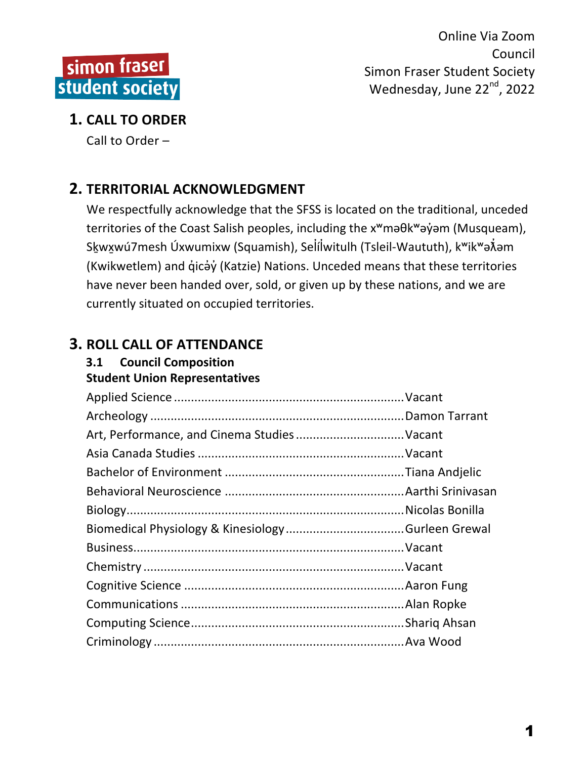

## **1. CALL TO ORDER**

Call to Order  $-$ 

# **2. TERRITORIAL ACKNOWLEDGMENT**

We respectfully acknowledge that the SFSS is located on the traditional, unceded territories of the Coast Salish peoples, including the x<sup>w</sup>maθk<sup>w</sup>aγ jom (Musqueam), S<uk</u>wxwú7mesh Úxwumixw (Squamish), Seİíİwitulh (Tsleil-Waututh), kʷikʷə๋⁄iəm (Kwikwetlem) and q̓icə̓y̓(Katzie) Nations. Unceded means that these territories have never been handed over, sold, or given up by these nations, and we are currently situated on occupied territories.

# **3. ROLL CALL OF ATTENDANCE**

# **3.1 Council Composition**

**Student Union Representatives** Applied Science ....................................................................Vacant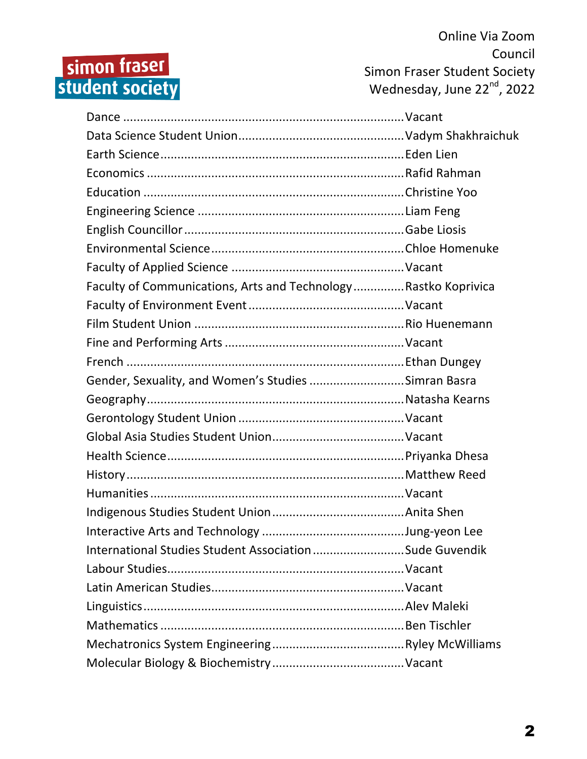# simon fraser<br>student society

Online Via Zoom Council Simon Fraser Student Society Wednesday, June  $22^{nd}$ , 2022

| Faculty of Communications, Arts and Technology Rastko Koprivica |  |
|-----------------------------------------------------------------|--|
|                                                                 |  |
|                                                                 |  |
|                                                                 |  |
|                                                                 |  |
| Gender, Sexuality, and Women's Studies Simran Basra             |  |
|                                                                 |  |
|                                                                 |  |
|                                                                 |  |
|                                                                 |  |
|                                                                 |  |
|                                                                 |  |
|                                                                 |  |
|                                                                 |  |
| International Studies Student Association Sude Guvendik         |  |
|                                                                 |  |
|                                                                 |  |
|                                                                 |  |
|                                                                 |  |
|                                                                 |  |
|                                                                 |  |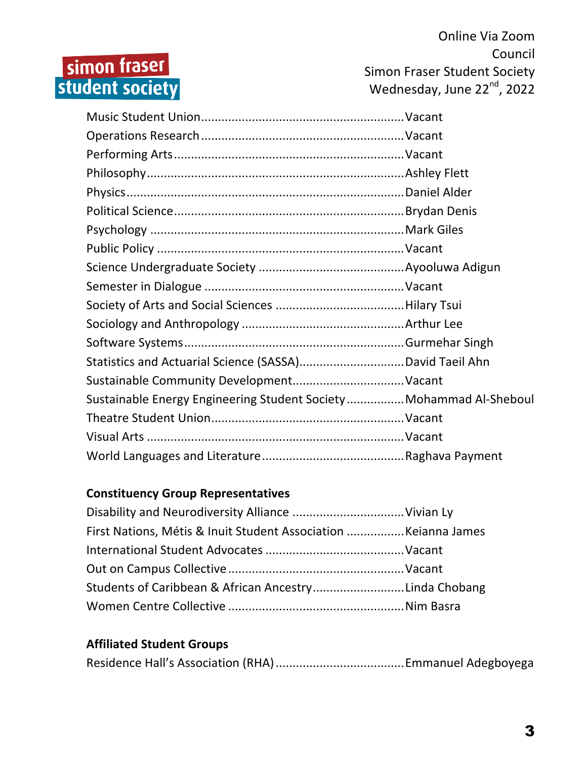# simon fraser<br>student society

Online Via Zoom Council Simon Fraser Student Society Wednesday, June 22<sup>nd</sup>, 2022

| Sustainable Energy Engineering Student Society Mohammad Al-Sheboul |  |
|--------------------------------------------------------------------|--|
|                                                                    |  |
|                                                                    |  |
|                                                                    |  |

## **Constituency Group Representatives**

| Students of Caribbean & African AncestryLinda Chobang |  |
|-------------------------------------------------------|--|
|                                                       |  |

#### **Affiliated Student Groups**

|--|--|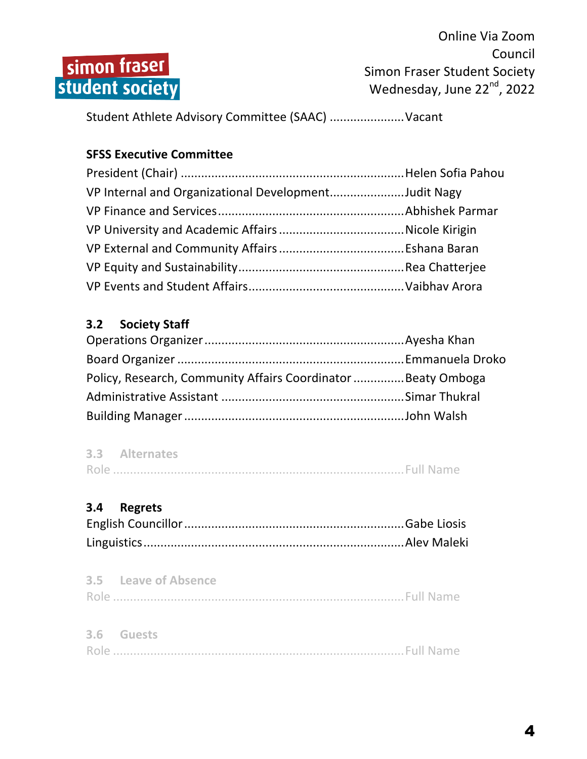

Student Athlete Advisory Committee (SAAC) .......................Vacant

## **SFSS Executive Committee**

| VP Internal and Organizational DevelopmentJudit Nagy |  |
|------------------------------------------------------|--|
|                                                      |  |
|                                                      |  |
|                                                      |  |
|                                                      |  |
|                                                      |  |

## **3.2 Society Staff**

| Policy, Research, Community Affairs Coordinator Beaty Omboga |  |
|--------------------------------------------------------------|--|
|                                                              |  |
|                                                              |  |

| 3.3 Alternates |  |
|----------------|--|
|                |  |

## **3.4 Regrets**

| 3.5 Leave of Absence |  |
|----------------------|--|
|                      |  |

| 3.6 Guests |  |
|------------|--|
|            |  |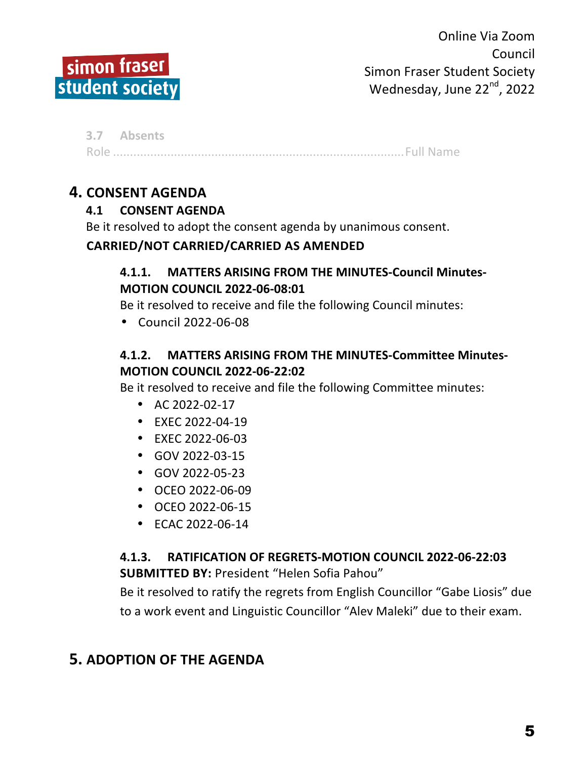

**3.7 Absents** Role ......................................................................................Full Name

## **4. CONSENT AGENDA**

## **4.1 CONSENT AGENDA**

Be it resolved to adopt the consent agenda by unanimous consent.

#### **CARRIED/NOT CARRIED/CARRIED AS AMENDED**

## **4.1.1. MATTERS ARISING FROM THE MINUTES-Council Minutes-MOTION COUNCIL 2022-06-08:01**

Be it resolved to receive and file the following Council minutes:

• Council 2022-06-08

## **4.1.2. MATTERS ARISING FROM THE MINUTES-Committee Minutes-MOTION COUNCIL 2022-06-22:02**

Be it resolved to receive and file the following Committee minutes:

- AC 2022-02-17
- EXEC 2022-04-19
- EXEC 2022-06-03
- GOV 2022-03-15
- $\cdot$  GOV 2022-05-23
- OCEO 2022-06-09
- OCEO 2022-06-15
- $\cdot$  FCAC 2022-06-14

## **4.1.3. RATIFICATION OF REGRETS-MOTION COUNCIL 2022-06-22:03 SUBMITTED BY: President "Helen Sofia Pahou"**

Be it resolved to ratify the regrets from English Councillor "Gabe Liosis" due to a work event and Linguistic Councillor "Alev Maleki" due to their exam.

## **5. ADOPTION OF THE AGENDA**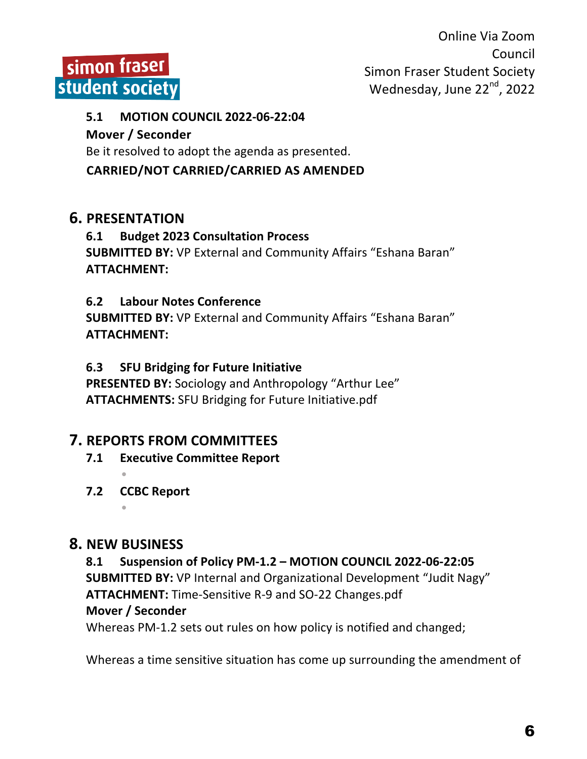

#### **5.1 MOTION COUNCIL 2022-06-22:04**

#### **Mover / Seconder**

Be it resolved to adopt the agenda as presented.

## **CARRIED/NOT CARRIED/CARRIED AS AMENDED**

## **6. PRESENTATION**

#### **6.1 Budget 2023 Consultation Process SUBMITTED BY:** VP External and Community Affairs "Eshana Baran" **ATTACHMENT:**

## **6.2 Labour Notes Conference**

**SUBMITTED BY:** VP External and Community Affairs "Eshana Baran" **ATTACHMENT:**

## **6.3 SFU Bridging for Future Initiative**

**PRESENTED BY:** Sociology and Anthropology "Arthur Lee" **ATTACHMENTS:** SFU Bridging for Future Initiative.pdf

## **7. REPORTS FROM COMMITTEES**

- **7.1 Executive Committee Report**
- **7.2 CCBC Report**

•

## **8. NEW BUSINESS**

**8.1 Suspension of Policy PM-1.2 – MOTION COUNCIL 2022-06-22:05 SUBMITTED BY:** VP Internal and Organizational Development "Judit Nagy" ATTACHMENT: Time-Sensitive R-9 and SO-22 Changes.pdf **Mover / Seconder**

Whereas PM-1.2 sets out rules on how policy is notified and changed;

Whereas a time sensitive situation has come up surrounding the amendment of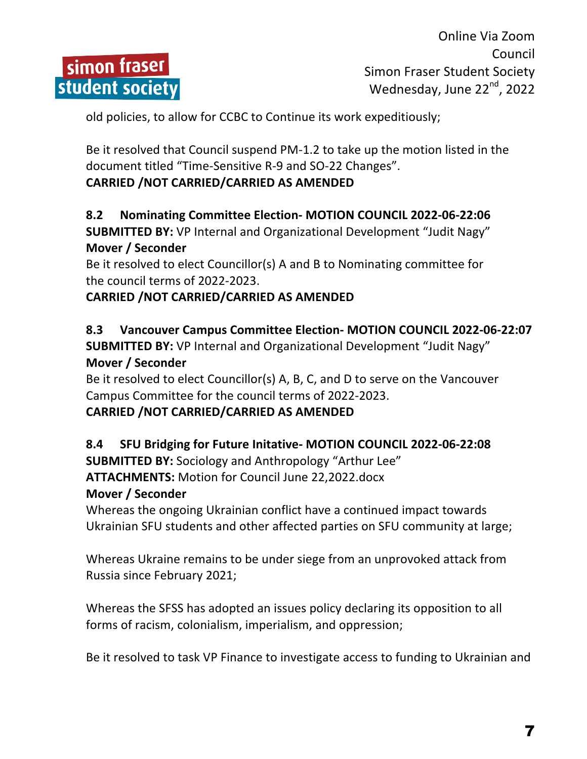

old policies, to allow for CCBC to Continue its work expeditiously;

Be it resolved that Council suspend PM-1.2 to take up the motion listed in the document titled "Time-Sensitive R-9 and SO-22 Changes".

#### **CARRIED /NOT CARRIED/CARRIED AS AMENDED**

#### **8.2 Nominating Committee Election- MOTION COUNCIL 2022-06-22:06 SUBMITTED BY:** VP Internal and Organizational Development "Judit Nagy" **Mover / Seconder**

Be it resolved to elect Councillor(s) A and B to Nominating committee for the council terms of 2022-2023.

## **CARRIED /NOT CARRIED/CARRIED AS AMENDED**

#### **8.3 Vancouver Campus Committee Election- MOTION COUNCIL 2022-06-22:07 SUBMITTED BY:** VP Internal and Organizational Development "Judit Nagy" **Mover / Seconder**

Be it resolved to elect Councillor(s) A, B, C, and D to serve on the Vancouver Campus Committee for the council terms of 2022-2023.

#### **CARRIED /NOT CARRIED/CARRIED AS AMENDED**

#### **8.4 SFU Bridging for Future Initative- MOTION COUNCIL 2022-06-22:08**

**SUBMITTED BY:** Sociology and Anthropology "Arthur Lee" **ATTACHMENTS: Motion for Council June 22,2022.docx** 

#### **Mover / Seconder**

Whereas the ongoing Ukrainian conflict have a continued impact towards Ukrainian SFU students and other affected parties on SFU community at large;

Whereas Ukraine remains to be under siege from an unprovoked attack from Russia since February 2021;

Whereas the SFSS has adopted an issues policy declaring its opposition to all forms of racism, colonialism, imperialism, and oppression;

Be it resolved to task VP Finance to investigate access to funding to Ukrainian and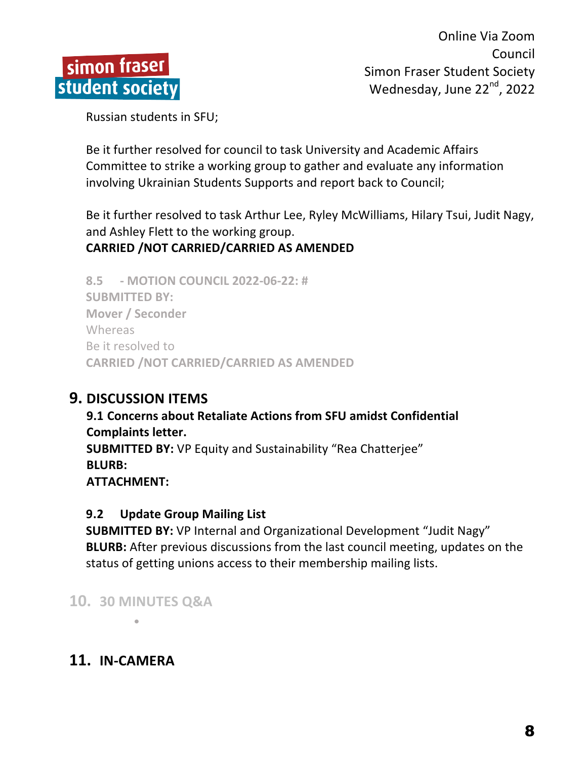

Russian students in SFU;

Be it further resolved for council to task University and Academic Affairs Committee to strike a working group to gather and evaluate any information involving Ukrainian Students Supports and report back to Council;

Be it further resolved to task Arthur Lee, Ryley McWilliams, Hilary Tsui, Judit Nagy, and Ashley Flett to the working group.

## **CARRIED /NOT CARRIED/CARRIED AS AMENDED**

**8.5 - MOTION COUNCIL 2022-06-22: # SUBMITTED BY: Mover / Seconder** Whereas Be it resolved to **CARRIED /NOT CARRIED/CARRIED AS AMENDED** 

## **9. DISCUSSION ITEMS**

**9.1 Concerns about Retaliate Actions from SFU amidst Confidential Complaints letter. SUBMITTED BY:** VP Equity and Sustainability "Rea Chatterjee" **BLURB: ATTACHMENT:**

## **9.2 Update Group Mailing List**

**SUBMITTED BY:** VP Internal and Organizational Development "Judit Nagy" **BLURB:** After previous discussions from the last council meeting, updates on the status of getting unions access to their membership mailing lists.

**10. 30 MINUTES Q&A**

•

# **11. IN-CAMERA**